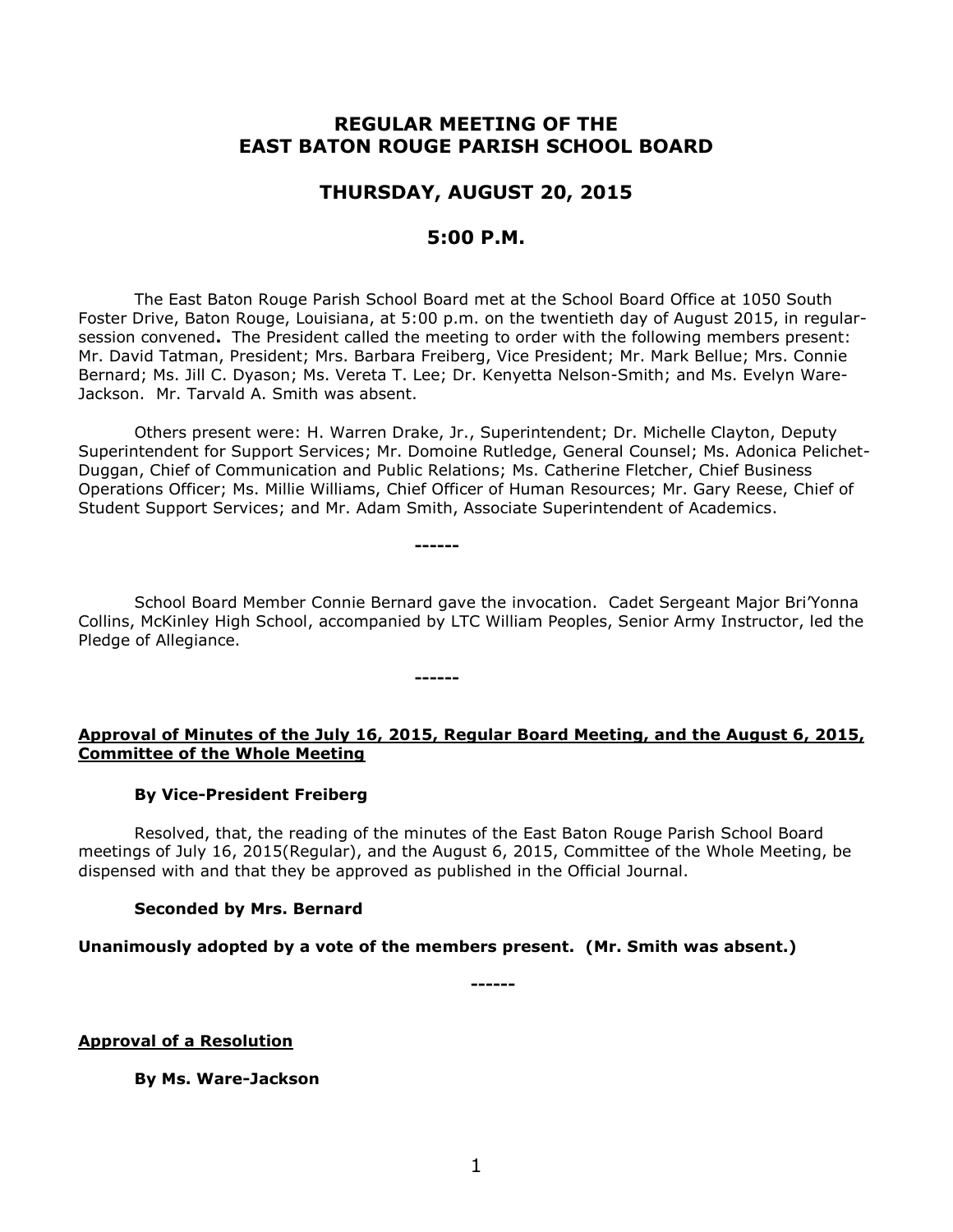# **REGULAR MEETING OF THE EAST BATON ROUGE PARISH SCHOOL BOARD**

# **THURSDAY, AUGUST 20, 2015**

# **5:00 P.M.**

The East Baton Rouge Parish School Board met at the School Board Office at 1050 South Foster Drive, Baton Rouge, Louisiana, at 5:00 p.m. on the twentieth day of August 2015, in regularsession convened**.** The President called the meeting to order with the following members present: Mr. David Tatman, President; Mrs. Barbara Freiberg, Vice President; Mr. Mark Bellue; Mrs. Connie Bernard; Ms. Jill C. Dyason; Ms. Vereta T. Lee; Dr. Kenyetta Nelson-Smith; and Ms. Evelyn Ware-Jackson. Mr. Tarvald A. Smith was absent.

Others present were: H. Warren Drake, Jr., Superintendent; Dr. Michelle Clayton, Deputy Superintendent for Support Services; Mr. Domoine Rutledge, General Counsel; Ms. Adonica Pelichet-Duggan, Chief of Communication and Public Relations; Ms. Catherine Fletcher, Chief Business Operations Officer; Ms. Millie Williams, Chief Officer of Human Resources; Mr. Gary Reese, Chief of Student Support Services; and Mr. Adam Smith, Associate Superintendent of Academics.

School Board Member Connie Bernard gave the invocation. Cadet Sergeant Major Bri'Yonna Collins, McKinley High School, accompanied by LTC William Peoples, Senior Army Instructor, led the Pledge of Allegiance.

**------**

**------**

## **Approval of Minutes of the July 16, 2015, Regular Board Meeting, and the August 6, 2015, Committee of the Whole Meeting**

#### **By Vice-President Freiberg**

Resolved, that, the reading of the minutes of the East Baton Rouge Parish School Board meetings of July 16, 2015(Regular), and the August 6, 2015, Committee of the Whole Meeting, be dispensed with and that they be approved as published in the Official Journal.

#### **Seconded by Mrs. Bernard**

**Unanimously adopted by a vote of the members present. (Mr. Smith was absent.)**

**------**

**Approval of a Resolution**

**By Ms. Ware-Jackson**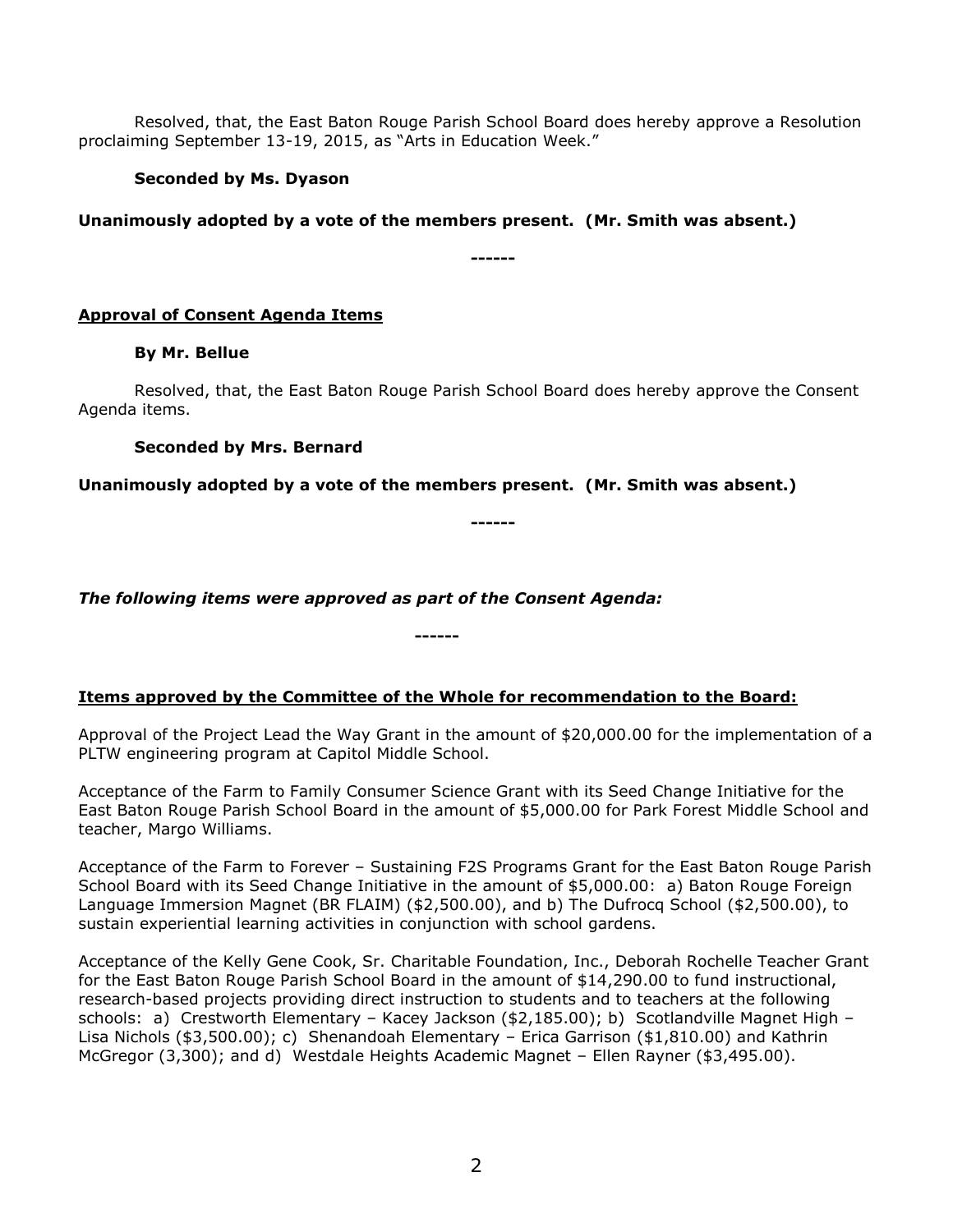Resolved, that, the East Baton Rouge Parish School Board does hereby approve a Resolution proclaiming September 13-19, 2015, as "Arts in Education Week."

## **Seconded by Ms. Dyason**

**Unanimously adopted by a vote of the members present. (Mr. Smith was absent.)**

**------**

# **Approval of Consent Agenda Items**

### **By Mr. Bellue**

Resolved, that, the East Baton Rouge Parish School Board does hereby approve the Consent Agenda items.

**------**

### **Seconded by Mrs. Bernard**

**Unanimously adopted by a vote of the members present. (Mr. Smith was absent.)**

*The following items were approved as part of the Consent Agenda:*

# **Items approved by the Committee of the Whole for recommendation to the Board:**

**------**

Approval of the Project Lead the Way Grant in the amount of \$20,000.00 for the implementation of a PLTW engineering program at Capitol Middle School.

Acceptance of the Farm to Family Consumer Science Grant with its Seed Change Initiative for the East Baton Rouge Parish School Board in the amount of \$5,000.00 for Park Forest Middle School and teacher, Margo Williams.

Acceptance of the Farm to Forever – Sustaining F2S Programs Grant for the East Baton Rouge Parish School Board with its Seed Change Initiative in the amount of \$5,000.00: a) Baton Rouge Foreign Language Immersion Magnet (BR FLAIM) (\$2,500.00), and b) The Dufrocq School (\$2,500.00), to sustain experiential learning activities in conjunction with school gardens.

Acceptance of the Kelly Gene Cook, Sr. Charitable Foundation, Inc., Deborah Rochelle Teacher Grant for the East Baton Rouge Parish School Board in the amount of \$14,290.00 to fund instructional, research-based projects providing direct instruction to students and to teachers at the following schools: a) Crestworth Elementary - Kacey Jackson (\$2,185.00); b) Scotlandville Magnet High -Lisa Nichols (\$3,500.00); c) Shenandoah Elementary – Erica Garrison (\$1,810.00) and Kathrin McGregor (3,300); and d) Westdale Heights Academic Magnet – Ellen Rayner (\$3,495.00).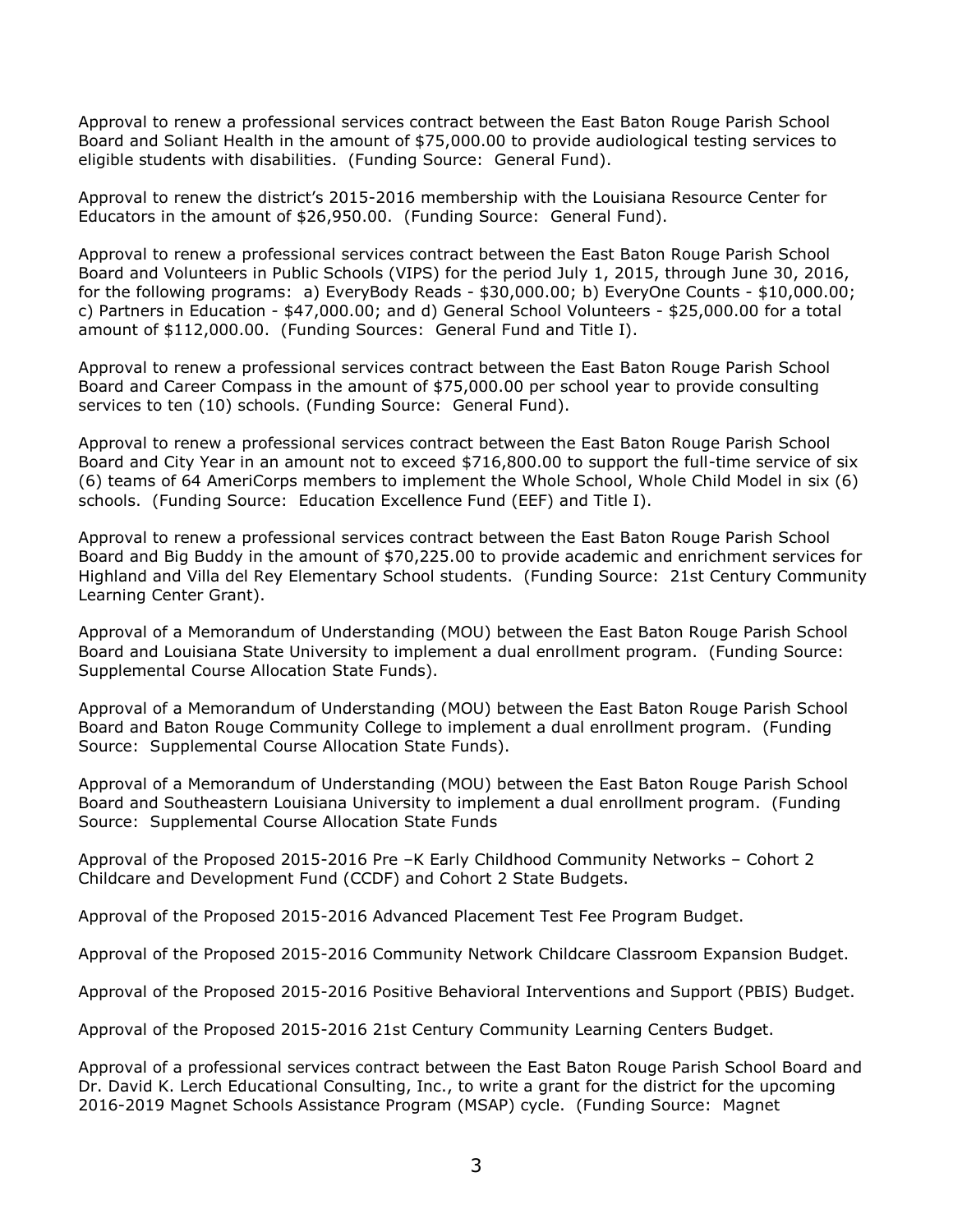Approval to renew a professional services contract between the East Baton Rouge Parish School Board and Soliant Health in the amount of \$75,000.00 to provide audiological testing services to eligible students with disabilities. (Funding Source: General Fund).

Approval to renew the district's 2015-2016 membership with the Louisiana Resource Center for Educators in the amount of \$26,950.00. (Funding Source: General Fund).

Approval to renew a professional services contract between the East Baton Rouge Parish School Board and Volunteers in Public Schools (VIPS) for the period July 1, 2015, through June 30, 2016, for the following programs: a) EveryBody Reads - \$30,000.00; b) EveryOne Counts - \$10,000.00; c) Partners in Education - \$47,000.00; and d) General School Volunteers - \$25,000.00 for a total amount of \$112,000.00. (Funding Sources: General Fund and Title I).

Approval to renew a professional services contract between the East Baton Rouge Parish School Board and Career Compass in the amount of \$75,000.00 per school year to provide consulting services to ten (10) schools. (Funding Source: General Fund).

Approval to renew a professional services contract between the East Baton Rouge Parish School Board and City Year in an amount not to exceed \$716,800.00 to support the full-time service of six (6) teams of 64 AmeriCorps members to implement the Whole School, Whole Child Model in six (6) schools. (Funding Source: Education Excellence Fund (EEF) and Title I).

Approval to renew a professional services contract between the East Baton Rouge Parish School Board and Big Buddy in the amount of \$70,225.00 to provide academic and enrichment services for Highland and Villa del Rey Elementary School students. (Funding Source: 21st Century Community Learning Center Grant).

Approval of a Memorandum of Understanding (MOU) between the East Baton Rouge Parish School Board and Louisiana State University to implement a dual enrollment program. (Funding Source: Supplemental Course Allocation State Funds).

Approval of a Memorandum of Understanding (MOU) between the East Baton Rouge Parish School Board and Baton Rouge Community College to implement a dual enrollment program. (Funding Source: Supplemental Course Allocation State Funds).

Approval of a Memorandum of Understanding (MOU) between the East Baton Rouge Parish School Board and Southeastern Louisiana University to implement a dual enrollment program. (Funding Source: Supplemental Course Allocation State Funds

Approval of the Proposed 2015-2016 Pre –K Early Childhood Community Networks – Cohort 2 Childcare and Development Fund (CCDF) and Cohort 2 State Budgets.

Approval of the Proposed 2015-2016 Advanced Placement Test Fee Program Budget.

Approval of the Proposed 2015-2016 Community Network Childcare Classroom Expansion Budget.

Approval of the Proposed 2015-2016 Positive Behavioral Interventions and Support (PBIS) Budget.

Approval of the Proposed 2015-2016 21st Century Community Learning Centers Budget.

Approval of a professional services contract between the East Baton Rouge Parish School Board and Dr. David K. Lerch Educational Consulting, Inc., to write a grant for the district for the upcoming 2016-2019 Magnet Schools Assistance Program (MSAP) cycle. (Funding Source: Magnet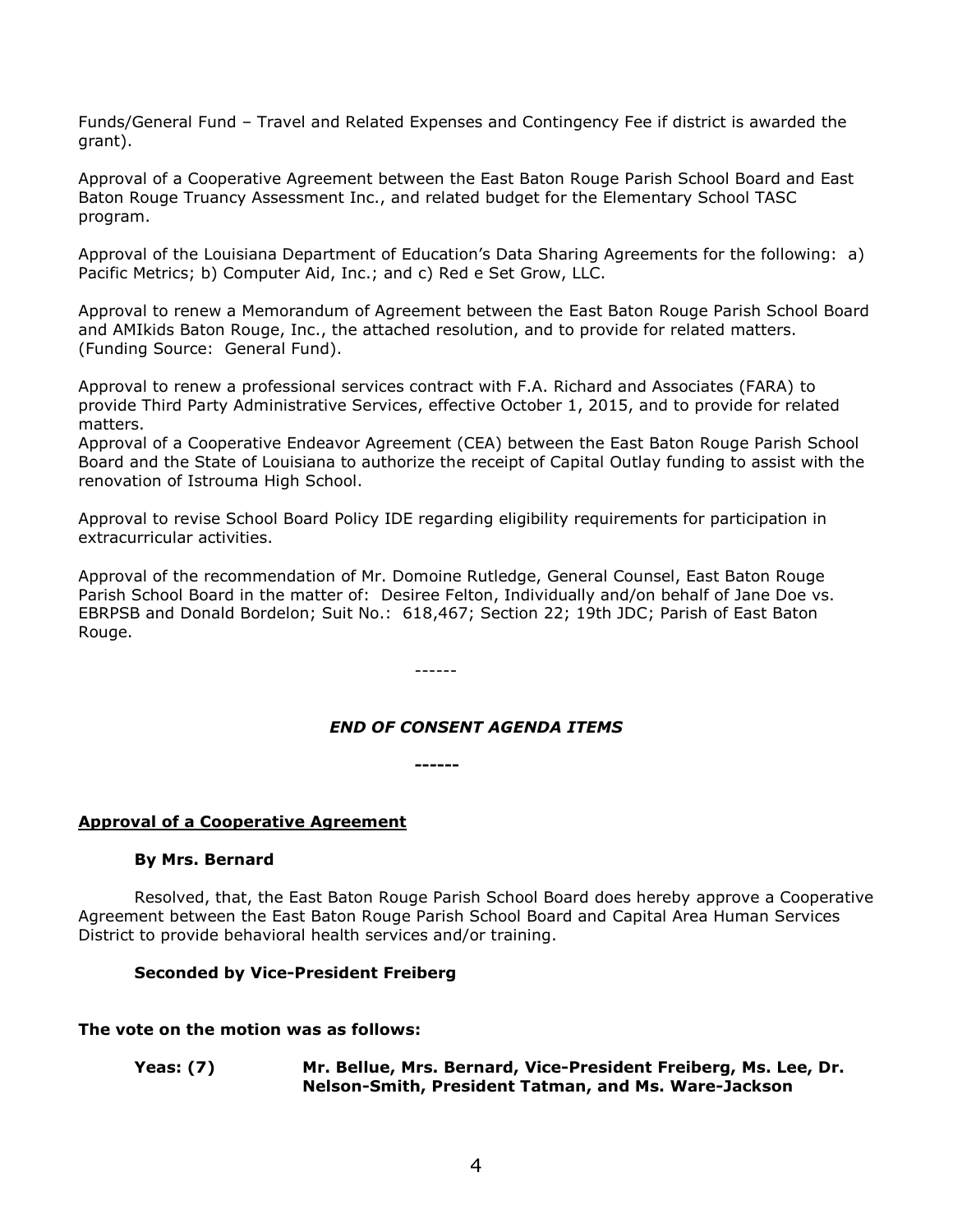Funds/General Fund – Travel and Related Expenses and Contingency Fee if district is awarded the grant).

Approval of a Cooperative Agreement between the East Baton Rouge Parish School Board and East Baton Rouge Truancy Assessment Inc., and related budget for the Elementary School TASC program.

Approval of the Louisiana Department of Education's Data Sharing Agreements for the following: a) Pacific Metrics; b) Computer Aid, Inc.; and c) Red e Set Grow, LLC.

Approval to renew a Memorandum of Agreement between the East Baton Rouge Parish School Board and AMIkids Baton Rouge, Inc., the attached resolution, and to provide for related matters. (Funding Source: General Fund).

Approval to renew a professional services contract with F.A. Richard and Associates (FARA) to provide Third Party Administrative Services, effective October 1, 2015, and to provide for related matters.

Approval of a Cooperative Endeavor Agreement (CEA) between the East Baton Rouge Parish School Board and the State of Louisiana to authorize the receipt of Capital Outlay funding to assist with the renovation of Istrouma High School.

Approval to revise School Board Policy IDE regarding eligibility requirements for participation in extracurricular activities.

Approval of the recommendation of Mr. Domoine Rutledge, General Counsel, East Baton Rouge Parish School Board in the matter of: Desiree Felton, Individually and/on behalf of Jane Doe vs. EBRPSB and Donald Bordelon; Suit No.: 618,467; Section 22; 19th JDC; Parish of East Baton Rouge.

------

### *END OF CONSENT AGENDA ITEMS*

**------**

### **Approval of a Cooperative Agreement**

### **By Mrs. Bernard**

Resolved, that, the East Baton Rouge Parish School Board does hereby approve a Cooperative Agreement between the East Baton Rouge Parish School Board and Capital Area Human Services District to provide behavioral health services and/or training.

### **Seconded by Vice-President Freiberg**

#### **The vote on the motion was as follows:**

**Yeas: (7) Mr. Bellue, Mrs. Bernard, Vice-President Freiberg, Ms. Lee, Dr. Nelson-Smith, President Tatman, and Ms. Ware-Jackson**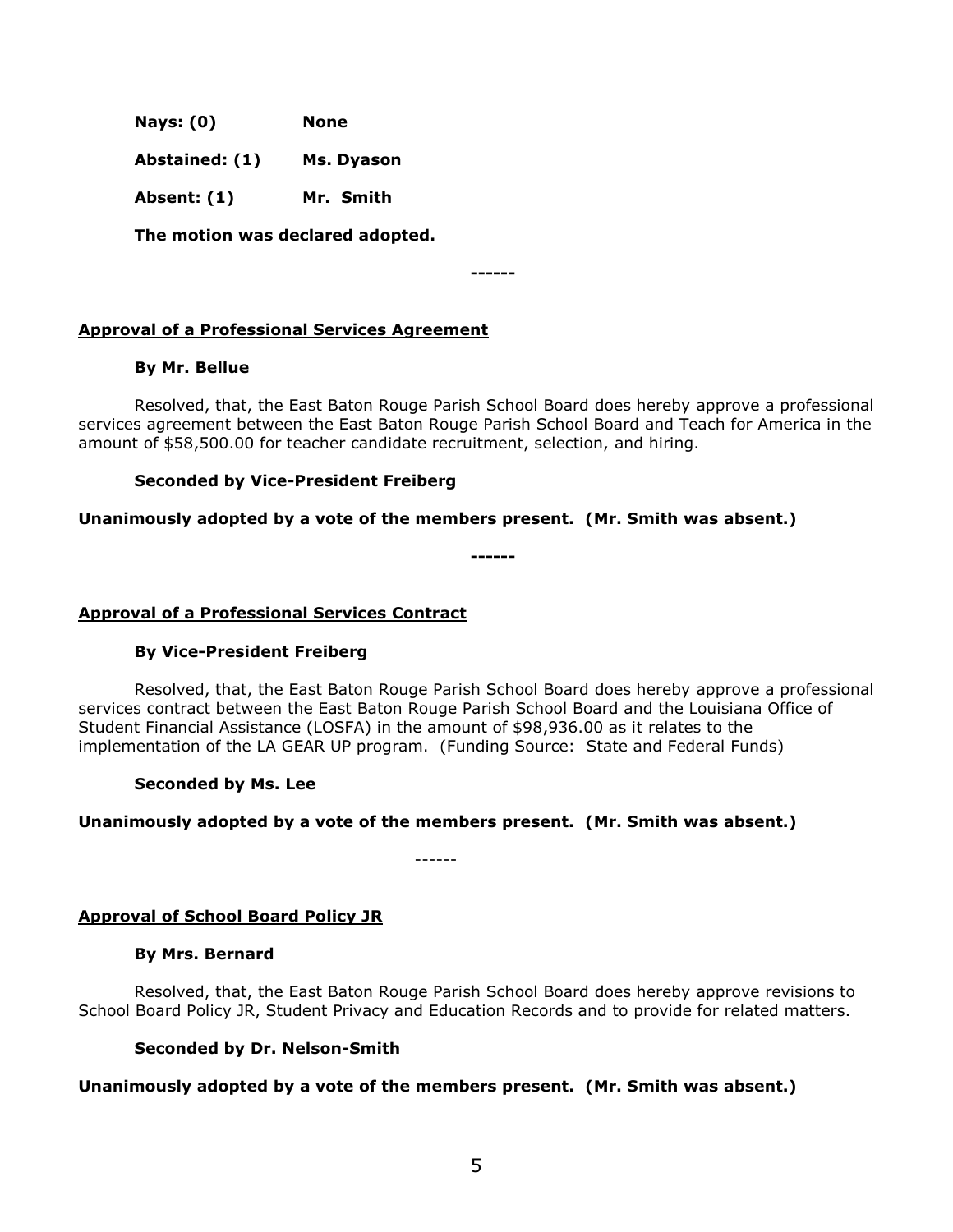**Nays: (0) None**

**Abstained: (1) Ms. Dyason**

**Absent: (1) Mr. Smith**

**The motion was declared adopted.**

**------**

### **Approval of a Professional Services Agreement**

### **By Mr. Bellue**

Resolved, that, the East Baton Rouge Parish School Board does hereby approve a professional services agreement between the East Baton Rouge Parish School Board and Teach for America in the amount of \$58,500.00 for teacher candidate recruitment, selection, and hiring.

### **Seconded by Vice-President Freiberg**

### **Unanimously adopted by a vote of the members present. (Mr. Smith was absent.)**

**------**

#### **Approval of a Professional Services Contract**

### **By Vice-President Freiberg**

Resolved, that, the East Baton Rouge Parish School Board does hereby approve a professional services contract between the East Baton Rouge Parish School Board and the Louisiana Office of Student Financial Assistance (LOSFA) in the amount of \$98,936.00 as it relates to the implementation of the LA GEAR UP program. (Funding Source: State and Federal Funds)

### **Seconded by Ms. Lee**

### **Unanimously adopted by a vote of the members present. (Mr. Smith was absent.)**

------

### **Approval of School Board Policy JR**

### **By Mrs. Bernard**

Resolved, that, the East Baton Rouge Parish School Board does hereby approve revisions to School Board Policy JR, Student Privacy and Education Records and to provide for related matters.

### **Seconded by Dr. Nelson-Smith**

### **Unanimously adopted by a vote of the members present. (Mr. Smith was absent.)**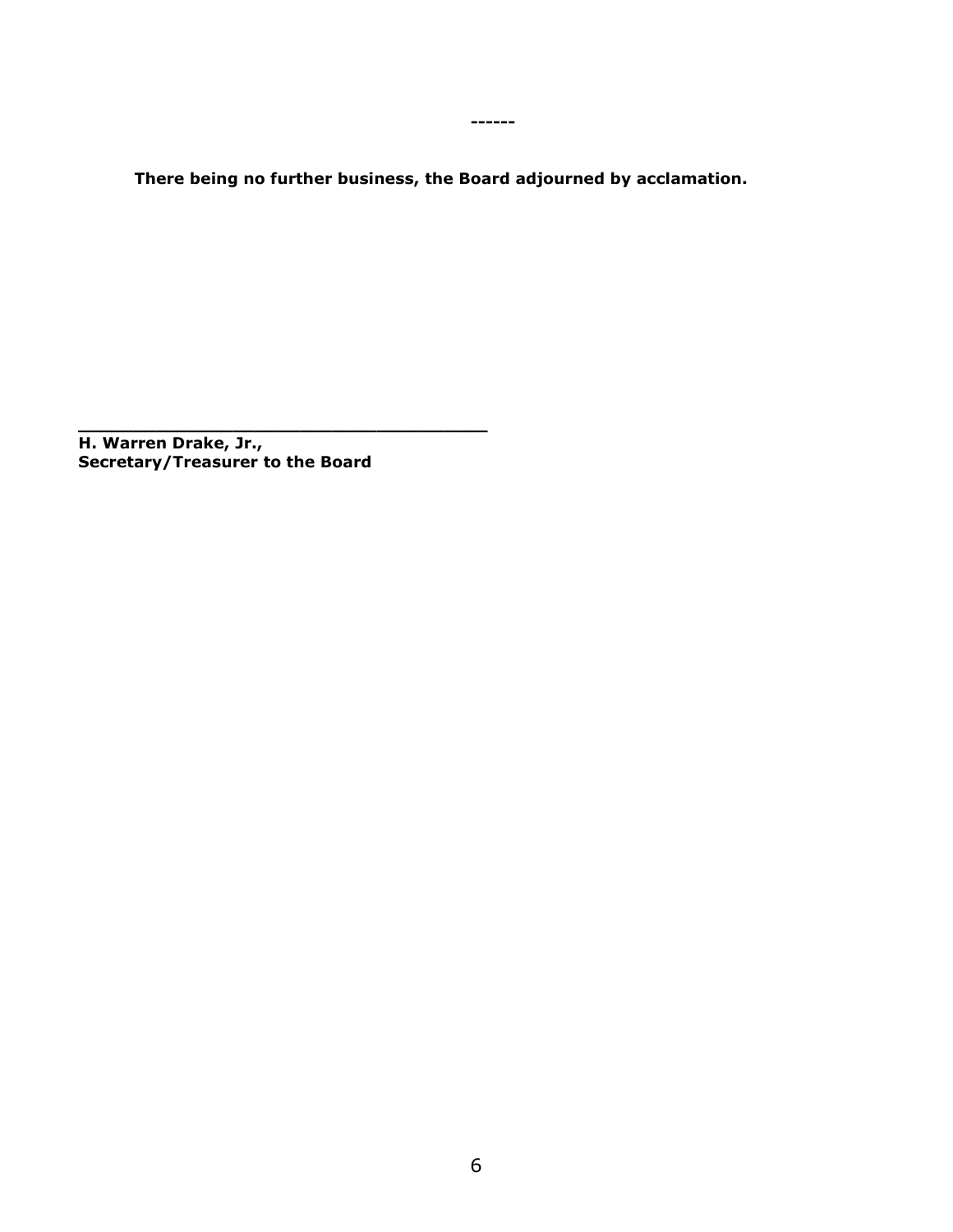**------**

**There being no further business, the Board adjourned by acclamation.**

**H. Warren Drake, Jr., Secretary/Treasurer to the Board**

**\_\_\_\_\_\_\_\_\_\_\_\_\_\_\_\_\_\_\_\_\_\_\_\_\_\_\_\_\_\_\_\_\_\_\_\_\_**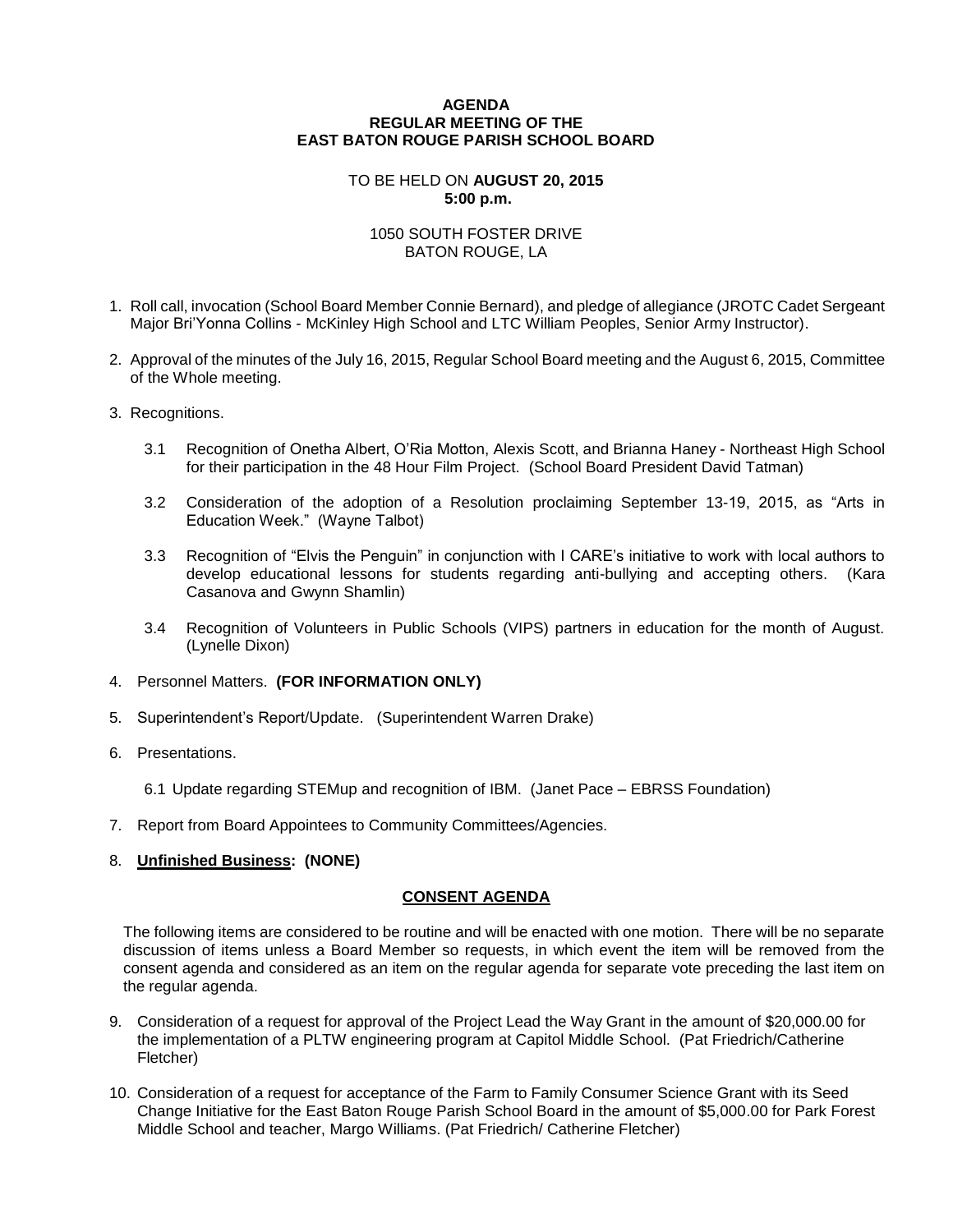#### **AGENDA REGULAR MEETING OF THE EAST BATON ROUGE PARISH SCHOOL BOARD**

#### TO BE HELD ON **AUGUST 20, 2015 5:00 p.m.**

#### 1050 SOUTH FOSTER DRIVE BATON ROUGE, LA

- 1. Roll call, invocation (School Board Member Connie Bernard), and pledge of allegiance (JROTC Cadet Sergeant Major Bri'Yonna Collins - McKinley High School and LTC William Peoples, Senior Army Instructor).
- 2. Approval of the minutes of the July 16, 2015, Regular School Board meeting and the August 6, 2015, Committee of the Whole meeting.
- 3. Recognitions.
	- 3.1 Recognition of Onetha Albert, O'Ria Motton, Alexis Scott, and Brianna Haney Northeast High School for their participation in the 48 Hour Film Project. (School Board President David Tatman)
	- 3.2 Consideration of the adoption of a Resolution proclaiming September 13-19, 2015, as "Arts in Education Week." (Wayne Talbot)
	- 3.3 Recognition of "Elvis the Penguin" in conjunction with I CARE's initiative to work with local authors to develop educational lessons for students regarding anti-bullying and accepting others. (Kara Casanova and Gwynn Shamlin)
	- 3.4 Recognition of Volunteers in Public Schools (VIPS) partners in education for the month of August. (Lynelle Dixon)
- 4. Personnel Matters. **(FOR INFORMATION ONLY)**
- 5. Superintendent's Report/Update. (Superintendent Warren Drake)
- 6. Presentations.
	- 6.1 Update regarding STEMup and recognition of IBM. (Janet Pace EBRSS Foundation)
- 7. Report from Board Appointees to Community Committees/Agencies.
- 8. **Unfinished Business: (NONE)**

#### **CONSENT AGENDA**

The following items are considered to be routine and will be enacted with one motion. There will be no separate discussion of items unless a Board Member so requests, in which event the item will be removed from the consent agenda and considered as an item on the regular agenda for separate vote preceding the last item on the regular agenda.

- 9. Consideration of a request for approval of the Project Lead the Way Grant in the amount of \$20,000.00 for the implementation of a PLTW engineering program at Capitol Middle School. (Pat Friedrich/Catherine Fletcher)
- 10. Consideration of a request for acceptance of the Farm to Family Consumer Science Grant with its Seed Change Initiative for the East Baton Rouge Parish School Board in the amount of \$5,000.00 for Park Forest Middle School and teacher, Margo Williams. (Pat Friedrich/ Catherine Fletcher)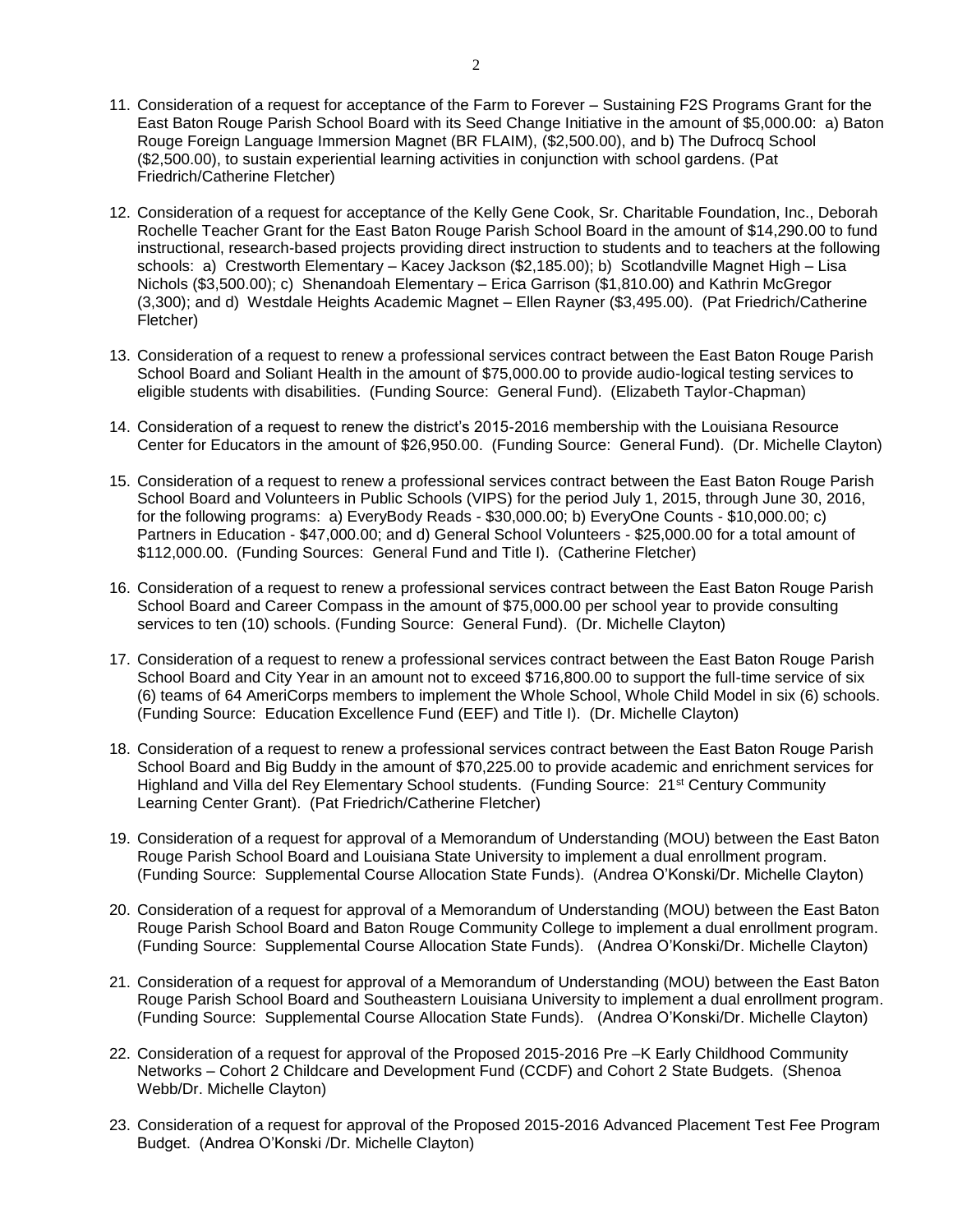- 11. Consideration of a request for acceptance of the Farm to Forever Sustaining F2S Programs Grant for the East Baton Rouge Parish School Board with its Seed Change Initiative in the amount of \$5,000.00: a) Baton Rouge Foreign Language Immersion Magnet (BR FLAIM), (\$2,500.00), and b) The Dufrocq School (\$2,500.00), to sustain experiential learning activities in conjunction with school gardens. (Pat Friedrich/Catherine Fletcher)
- 12. Consideration of a request for acceptance of the Kelly Gene Cook, Sr. Charitable Foundation, Inc., Deborah Rochelle Teacher Grant for the East Baton Rouge Parish School Board in the amount of \$14,290.00 to fund instructional, research-based projects providing direct instruction to students and to teachers at the following schools: a) Crestworth Elementary – Kacey Jackson (\$2,185.00); b) Scotlandville Magnet High – Lisa Nichols (\$3,500.00); c) Shenandoah Elementary – Erica Garrison (\$1,810.00) and Kathrin McGregor (3,300); and d) Westdale Heights Academic Magnet – Ellen Rayner (\$3,495.00). (Pat Friedrich/Catherine Fletcher)
- 13. Consideration of a request to renew a professional services contract between the East Baton Rouge Parish School Board and Soliant Health in the amount of \$75,000.00 to provide audio-logical testing services to eligible students with disabilities. (Funding Source: General Fund). (Elizabeth Taylor-Chapman)
- 14. Consideration of a request to renew the district's 2015-2016 membership with the Louisiana Resource Center for Educators in the amount of \$26,950.00. (Funding Source: General Fund). (Dr. Michelle Clayton)
- 15. Consideration of a request to renew a professional services contract between the East Baton Rouge Parish School Board and Volunteers in Public Schools (VIPS) for the period July 1, 2015, through June 30, 2016, for the following programs: a) EveryBody Reads - \$30,000.00; b) EveryOne Counts - \$10,000.00; c) Partners in Education - \$47,000.00; and d) General School Volunteers - \$25,000.00 for a total amount of \$112,000.00. (Funding Sources: General Fund and Title I). (Catherine Fletcher)
- 16. Consideration of a request to renew a professional services contract between the East Baton Rouge Parish School Board and Career Compass in the amount of \$75,000.00 per school year to provide consulting services to ten (10) schools. (Funding Source: General Fund). (Dr. Michelle Clayton)
- 17. Consideration of a request to renew a professional services contract between the East Baton Rouge Parish School Board and City Year in an amount not to exceed \$716,800.00 to support the full-time service of six (6) teams of 64 AmeriCorps members to implement the Whole School, Whole Child Model in six (6) schools. (Funding Source: Education Excellence Fund (EEF) and Title I). (Dr. Michelle Clayton)
- 18. Consideration of a request to renew a professional services contract between the East Baton Rouge Parish School Board and Big Buddy in the amount of \$70,225.00 to provide academic and enrichment services for Highland and Villa del Rey Elementary School students. (Funding Source: 21<sup>st</sup> Century Community Learning Center Grant). (Pat Friedrich/Catherine Fletcher)
- 19. Consideration of a request for approval of a Memorandum of Understanding (MOU) between the East Baton Rouge Parish School Board and Louisiana State University to implement a dual enrollment program. (Funding Source: Supplemental Course Allocation State Funds). (Andrea O'Konski/Dr. Michelle Clayton)
- 20. Consideration of a request for approval of a Memorandum of Understanding (MOU) between the East Baton Rouge Parish School Board and Baton Rouge Community College to implement a dual enrollment program. (Funding Source: Supplemental Course Allocation State Funds). (Andrea O'Konski/Dr. Michelle Clayton)
- 21. Consideration of a request for approval of a Memorandum of Understanding (MOU) between the East Baton Rouge Parish School Board and Southeastern Louisiana University to implement a dual enrollment program. (Funding Source: Supplemental Course Allocation State Funds). (Andrea O'Konski/Dr. Michelle Clayton)
- 22. Consideration of a request for approval of the Proposed 2015-2016 Pre –K Early Childhood Community Networks – Cohort 2 Childcare and Development Fund (CCDF) and Cohort 2 State Budgets. (Shenoa Webb/Dr. Michelle Clayton)
- 23. Consideration of a request for approval of the Proposed 2015-2016 Advanced Placement Test Fee Program Budget. (Andrea O'Konski /Dr. Michelle Clayton)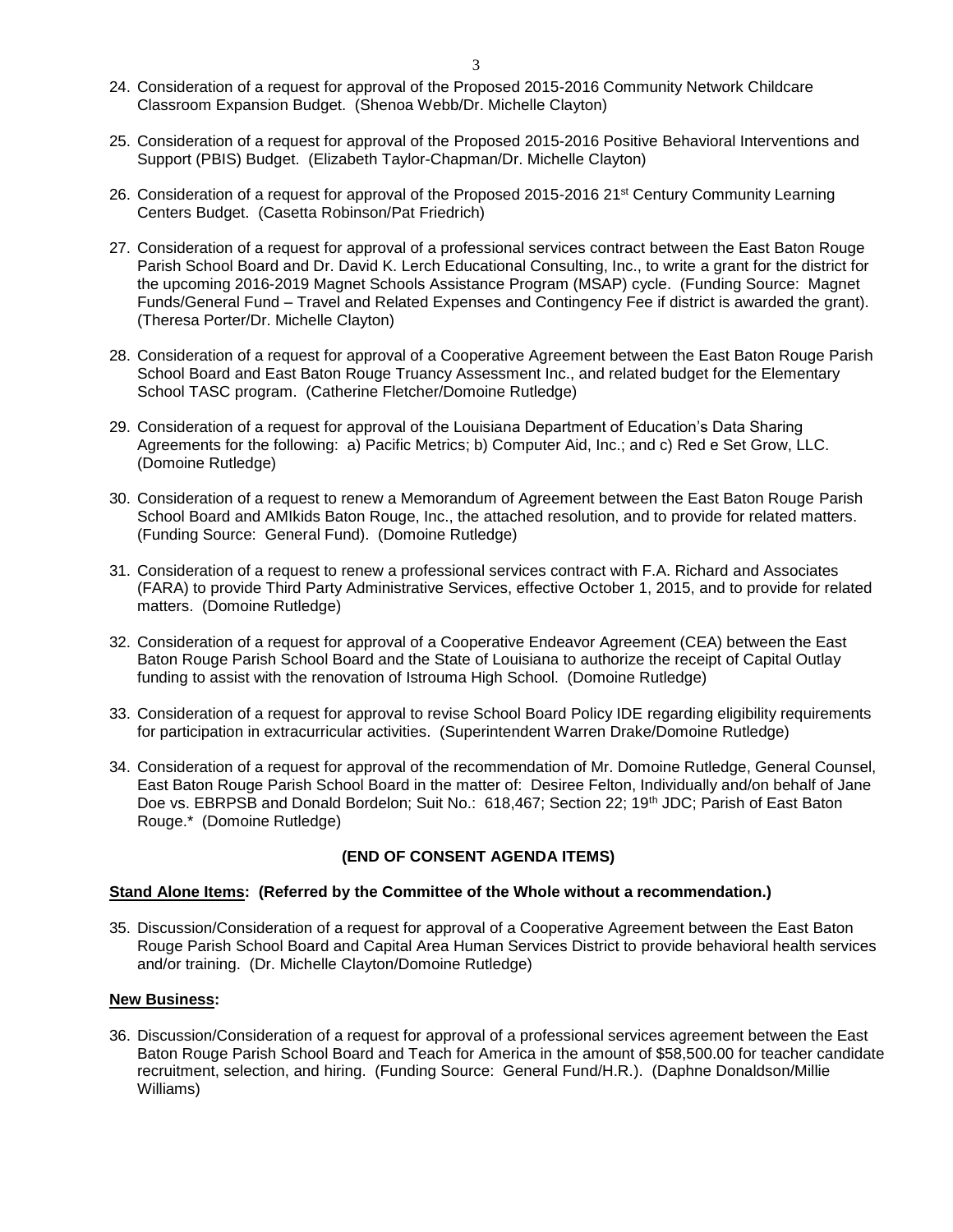- 24. Consideration of a request for approval of the Proposed 2015-2016 Community Network Childcare Classroom Expansion Budget. (Shenoa Webb/Dr. Michelle Clayton)
- 25. Consideration of a request for approval of the Proposed 2015-2016 Positive Behavioral Interventions and Support (PBIS) Budget. (Elizabeth Taylor-Chapman/Dr. Michelle Clayton)
- 26. Consideration of a request for approval of the Proposed 2015-2016 21st Century Community Learning Centers Budget. (Casetta Robinson/Pat Friedrich)
- 27. Consideration of a request for approval of a professional services contract between the East Baton Rouge Parish School Board and Dr. David K. Lerch Educational Consulting, Inc., to write a grant for the district for the upcoming 2016-2019 Magnet Schools Assistance Program (MSAP) cycle. (Funding Source: Magnet Funds/General Fund – Travel and Related Expenses and Contingency Fee if district is awarded the grant). (Theresa Porter/Dr. Michelle Clayton)
- 28. Consideration of a request for approval of a Cooperative Agreement between the East Baton Rouge Parish School Board and East Baton Rouge Truancy Assessment Inc., and related budget for the Elementary School TASC program. (Catherine Fletcher/Domoine Rutledge)
- 29. Consideration of a request for approval of the Louisiana Department of Education's Data Sharing Agreements for the following: a) Pacific Metrics; b) Computer Aid, Inc.; and c) Red e Set Grow, LLC. (Domoine Rutledge)
- 30. Consideration of a request to renew a Memorandum of Agreement between the East Baton Rouge Parish School Board and AMIkids Baton Rouge, Inc., the attached resolution, and to provide for related matters. (Funding Source: General Fund). (Domoine Rutledge)
- 31. Consideration of a request to renew a professional services contract with F.A. Richard and Associates (FARA) to provide Third Party Administrative Services, effective October 1, 2015, and to provide for related matters. (Domoine Rutledge)
- 32. Consideration of a request for approval of a Cooperative Endeavor Agreement (CEA) between the East Baton Rouge Parish School Board and the State of Louisiana to authorize the receipt of Capital Outlay funding to assist with the renovation of Istrouma High School. (Domoine Rutledge)
- 33. Consideration of a request for approval to revise School Board Policy IDE regarding eligibility requirements for participation in extracurricular activities. (Superintendent Warren Drake/Domoine Rutledge)
- 34. Consideration of a request for approval of the recommendation of Mr. Domoine Rutledge, General Counsel, East Baton Rouge Parish School Board in the matter of: Desiree Felton, Individually and/on behalf of Jane Doe vs. EBRPSB and Donald Bordelon; Suit No.: 618,467; Section 22; 19<sup>th</sup> JDC; Parish of East Baton Rouge.\* (Domoine Rutledge)

#### **(END OF CONSENT AGENDA ITEMS)**

#### **Stand Alone Items: (Referred by the Committee of the Whole without a recommendation.)**

35. Discussion/Consideration of a request for approval of a Cooperative Agreement between the East Baton Rouge Parish School Board and Capital Area Human Services District to provide behavioral health services and/or training. (Dr. Michelle Clayton/Domoine Rutledge)

#### **New Business:**

36. Discussion/Consideration of a request for approval of a professional services agreement between the East Baton Rouge Parish School Board and Teach for America in the amount of \$58,500.00 for teacher candidate recruitment, selection, and hiring. (Funding Source: General Fund/H.R.). (Daphne Donaldson/Millie Williams)